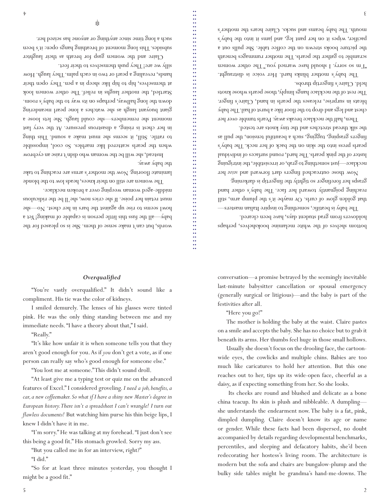must retain her poise. If she cries now, she'll be the ridiculous middle-aged woman weeping over a broken necklace. the baby away.

The women are still on their knees, heads low to the blonde laminate flooring. Now the mother's arms are reaching to take

words, but can't make sense of them. She is so pleased for the

Instead, she will be the woman who didn't raise an eyebrow when the pearls scattered like marbles. So cool, impossible to rattle. Still, it seems she must make a sound. This thing in her chest is rising, a disastrous pressure. At the very last moment she remembers—she could laugh. She lets loose a giant buoyant laugh as she watches a lone pearl meandering down the long hallway, perhaps on its way to the baby's room. Startled, the mother laughs in relief. The other women look at themselves, hip to hip like sheep in a pen. They open their hands, revealing a pearl or two in each palm. They laugh. How

Claire and the women gasp for breath as their laughter subsides. This long moment of breathing hangs open: it's been

尜

such a long time since anything or anyone has seized her.

silly we are! They push themselves to their feet.

conversation—a promise betrayed by the seemingly inevitable last-minute babysitter cancellation or spousal emergency (generally surgical or litigious)—and the baby is part of the festivities after all.

bottom shelves of the white melamine bookshelves, perhaps

The baby is beatific, something to inspire Italian masters that golden glow of curls. Or maybe it's the plump arm, still reaching poignantly toward her face. The baby's other hand grasps her forefinger so tightly the fingertip is darkening.

Now those outreached fingers dart forward and seize her necklace—just something to grab, or irresistible, the intriguing luster of the pink pearls. The hard, round surfaces of individual pearls press into the skin on the back of her neck. The baby's fingers grasping, tugging, such a beautiful tension, the pull as

Then, half the necklace breaks away. Pearls tumble over her chest and legs and drop to the floor like a burst of hail. The baby bleats in surprise, releases the pearls in hand, Claire's finger. The rest of the necklace hangs limply, those pearls whose knots

The baby's mother blinks hard. Her voice is distraught. "I'm so sorry. I should have warned you." The other women scramble to gather the pearls. The mother rummages beneath the picture books strewn on the coffee table. She pulls out a pacifier, wipes it on her pant leg, and jams it into the baby's mouth. The baby beams and sucks. Claire hears the mother's

holdovers from grad student days, have been cleared.

the silk thread stretches and the tiny knots are tested.

held. Claire's fingertip throbs.

"Here you go!"

The mother is holding the baby at the waist. Claire pastes on a smile and accepts the baby. She has no choice but to grab it beneath its arms. Her thumbs feel huge in those small hollows.

Usually she doesn't focus on the drooling face, the cartoonwide eyes, the cowlicks and multiple chins. Babies are too much like caricatures to hold her attention. But this one reaches out to her, tips up its wide-open face, cheerful as a daisy, as if expecting something from her. So she looks.

 Its cheeks are round and blushed and delicate as a bone china teacup. Its skin is plush and nibbleable. A dumpling she understands the endearment now. The baby is a fat, pink, dimpled dumpling. Claire doesn't know its age or name or gender. While these facts had been dispersed, no doubt accompanied by details regarding developmental benchmarks, percentiles, and sleeping and defacatory habits, she'd been redecorating her hostess's living room. The architecture is modern but the sofa and chairs are bungalow-plump and the bulky side tables might be grandma's hand-me-downs. The

## *Overqualified*

"You're vastly overqualified." It didn't sound like a compliment. His tie was the color of kidneys.

I smiled demurely. The lenses of his glasses were tinted pink. He was the only thing standing between me and my immediate needs. "I have a theory about that," I said.

"Really."

"It's like how unfair it is when someone tells you that they aren't good enough for you. As if *you* don't get a vote, as if one person can really say who's good enough for someone else."

"You lost me at someone." This didn't sound droll.

"At least give me a typing test or quiz me on the advanced features of Excel." I considered groveling. *I need a job, benefits, a car, a new coffeemaker. So what if I have a shiny new Master's degree in European history. There isn't a spreadsheet I can't wrangle! I turn out flawless documents!* But watching him purse his thin beige lips, I knew I didn't have it in me.

"I'm sorry." He was talking at my forehead. "I just don't see

this being a good fit." His stomach growled. Sorry my ass.

"But you called me in for an interview, right?"

"I did."

"So for at least three minutes yesterday, you thought I might be a good fit."

baby—all the fust this little person is capable of making! Yet a howl seems to rise up against the bars in her chest. No—she